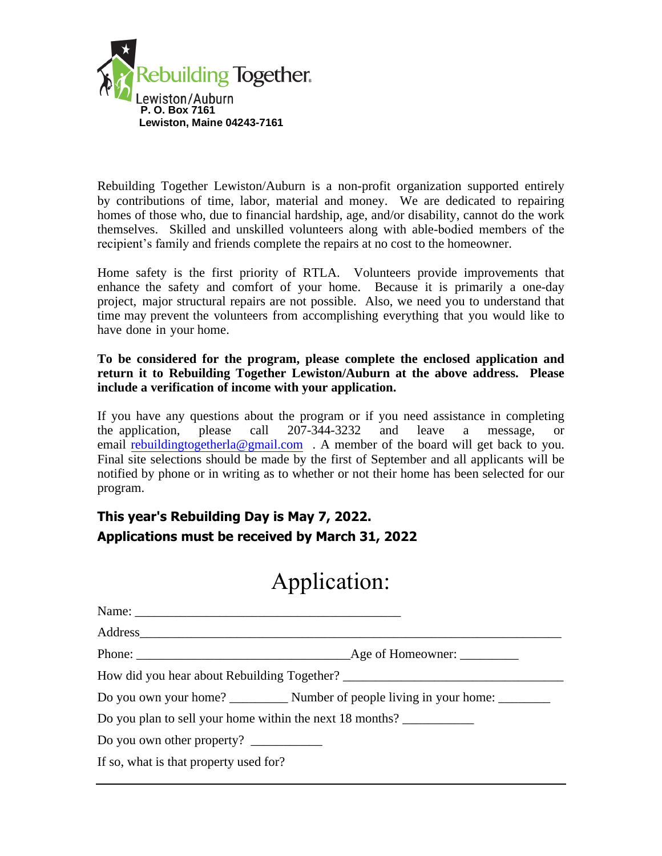

Rebuilding Together Lewiston/Auburn is a non-profit organization supported entirely by contributions of time, labor, material and money. We are dedicated to repairing homes of those who, due to financial hardship, age, and/or disability, cannot do the work themselves. Skilled and unskilled volunteers along with able-bodied members of the recipient's family and friends complete the repairs at no cost to the homeowner.

Home safety is the first priority of RTLA. Volunteers provide improvements that enhance the safety and comfort of your home. Because it is primarily a one-day project, major structural repairs are not possible. Also, we need you to understand that time may prevent the volunteers from accomplishing everything that you would like to have done in your home.

## **To be considered for the program, please complete the enclosed application and return it to Rebuilding Together Lewiston/Auburn at the above address. Please include a verification of income with your application.**

If you have any questions about the program or if you need assistance in completing the application, please call 207-344-3232 and leave a message, or [email rebuildingtogetherla@gmai](mailto:rebuildingtogetherla@gmail.com)l.com . A member of the board will get back to you. Final site selections should be made by the first of September and all applicants will be notified by phone or in writing as to whether or not their home has been selected for our program.

## **This year's Rebuilding Day is May 7, 2022. Applications must be received by March 31, 2022**

## Application:

| Name:                                                                                                                                                                                                                                                                                                                                                                                                     |  |  |
|-----------------------------------------------------------------------------------------------------------------------------------------------------------------------------------------------------------------------------------------------------------------------------------------------------------------------------------------------------------------------------------------------------------|--|--|
|                                                                                                                                                                                                                                                                                                                                                                                                           |  |  |
|                                                                                                                                                                                                                                                                                                                                                                                                           |  |  |
|                                                                                                                                                                                                                                                                                                                                                                                                           |  |  |
|                                                                                                                                                                                                                                                                                                                                                                                                           |  |  |
| Do you plan to sell your home within the next 18 months?                                                                                                                                                                                                                                                                                                                                                  |  |  |
| Do you own other property? $\frac{1}{\sqrt{1-\frac{1}{\sqrt{1-\frac{1}{\sqrt{1-\frac{1}{\sqrt{1-\frac{1}{\sqrt{1-\frac{1}{\sqrt{1-\frac{1}{\sqrt{1-\frac{1}{\sqrt{1-\frac{1}{\sqrt{1-\frac{1}{\sqrt{1-\frac{1}{\sqrt{1-\frac{1}{\sqrt{1-\frac{1}{\sqrt{1-\frac{1}{\sqrt{1-\frac{1}{\sqrt{1-\frac{1}{\sqrt{1-\frac{1}{\sqrt{1-\frac{1}{\sqrt{1-\frac{1}{\sqrt{1-\frac{1}{\sqrt{1-\frac{1}{\sqrt{1-\frac{1$ |  |  |
| If so, what is that property used for?                                                                                                                                                                                                                                                                                                                                                                    |  |  |
|                                                                                                                                                                                                                                                                                                                                                                                                           |  |  |